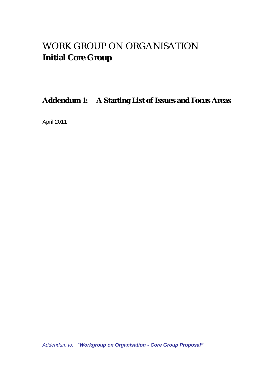# WORK GROUP ON ORGANISATION **Initial Core Group**

**Addendum 1: A Starting List of Issues and Focus Areas**

April 2011

*Addendum to: "Workgroup on Organisation - Core Group Proposal"*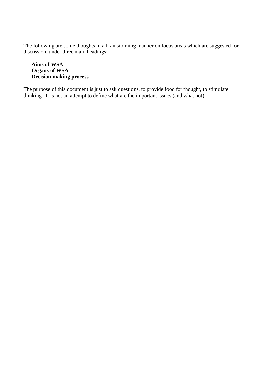The following are some thoughts in a brainstorming manner on focus areas which are suggested for discussion, under three main headings:

- **Aims of WSA**
- **Organs of WSA**
- **Decision making process**

The purpose of this document is just to ask questions, to provide food for thought, to stimulate the perpose of this essemble is just the important issues (and what not).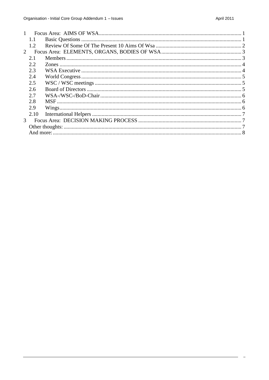<span id="page-2-0"></span>

| $\mathbf{1}$   |      |  |  |
|----------------|------|--|--|
|                | 1.1  |  |  |
|                | 1.2  |  |  |
| 2              |      |  |  |
|                | 2.1  |  |  |
|                | 2.2  |  |  |
|                | 2.3  |  |  |
|                | 2.4  |  |  |
|                | 2.5  |  |  |
|                | 2.6  |  |  |
|                | 2.7  |  |  |
|                | 2.8  |  |  |
|                | 2.9  |  |  |
|                | 2.10 |  |  |
| $\mathfrak{Z}$ |      |  |  |
|                |      |  |  |
|                |      |  |  |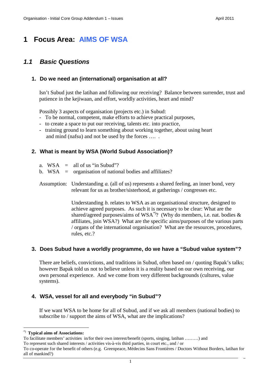# <span id="page-3-0"></span>**1 Focus Area: AIMS OF WSA**

### <span id="page-3-1"></span>*1.1 Basic Questions*

#### **1. Do we need an (international) organisation at all?**

Isn't Subud just the latihan and following our receiving? Balance between surrender, trust and patience in the kejiwaan, and effort, worldly activities, heart and mind?

Possibly 3 aspects of organisation (projects etc.) in Subud:

- To be normal, competent, make efforts to achieve practical purposes,
- to create a space to put our receiving, talents etc. into practice,
- training ground to learn something about working together, about using heart and mind (nafsu) and not be used by the forces …. .

#### **2. What is meant by WSA (World Subud Association)?**

- a.  $WSA =$  all of us "in Subud"?
- b. WSA = organisation of national bodies and affiliates?
- Assumption: Understanding *a.* (all of us) represents a shared feeling, an inner bond, very relevant for us as brother/sisterhood, at gatherings / congresses etc.

Understanding *b.* relates to WSA as an organisational structure, designed to achieve agreed purposes. As such it is necessary to be clear: What are the shared/agreed purposes/aims of WSA<sup>[\\*\)](#page-3-2)</sup>? (Why do members, i.e. nat. bodies  $\&$ affiliates, join WSA?) What are the specific aims/purposes of the various parts / organs of the international organisation? What are the resources, procedures, rules, etc.?

#### **3. Does Subud have a worldly programme, do we have a "Subud value system"?**

There are beliefs, convictions, and traditions in Subud, often based on / quoting Bapak's talks; however Bapak told us not to believe unless it is a reality based on our own receiving, our own personal experience. And we come from very different backgrounds (cultures, value systems).

#### **4. WSA, vessel for all and everybody "in Subud"?**

If we want WSA to be home for all of Subud, and if we ask all members (national bodies) to subscribe to / support the aims of WSA, what are the implications?

<span id="page-3-2"></span><sup>\*)</sup> **Typical aims of Associations:**

To facilitate members' activities in/for their own interest/benefit (sports, singing, latihan ………) and

To represent such shared interests / activities vis-à-vis third parties, in court etc., and / or

To co-operate for the benefit of others (e.g. Greenpeace, Médecins Sans Frontières / Doctors Without Borders, latihan for all of mankind?)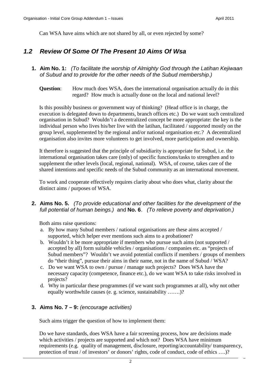<span id="page-4-0"></span>Can WSA have aims which are not shared by all, or even rejected by some?

### *1.2 Review Of Some Of The Present 10 Aims Of Wsa*

- **1. Aim No. 1:** *(To facilitate the worship of Almighty God through the Latihan Kejiwaan of Subud and to provide for the other needs of the Subud membership.)*
	- **Question:** How much does WSA, does the international organisation actually do in this regard? How much is actually done on the local and national level?

Is this possibly business or government way of thinking? (Head office is in charge, the execution is delegated down to departments, branch offices etc.) Do we want such centralized organisation in Subud? Wouldn't a decentralized concept be more appropriate: the key is the individual person who lives his/her live with the latihan, facilitated / supported mostly on the group level, supplemented by the regional and/or national organisation etc.? A decentralized organisation also invites more volunteers to get involved, more participation and ownership.

It therefore is suggested that the principle of subsidiarity is appropriate for Subud, i.e. the international organisation takes care (only) of specific functions/tasks to strengthen and to supplement the other levels (local, regional, national). WSA, of course, takes care of the shared intentions and specific needs of the Subud community as an international movement.

To work and cooperate effectively requires clarity about who does what, clarity about the distinct aims / purposes of WSA.

**2. Aims No. 5.** *(To provide educational and other facilities for the development of the full potential of human beings.)* and **No. 6**. *(To relieve poverty and deprivation.)*

Both aims raise questions:

- a. By how many Subud members / national organisations are these aims accepted / supported, which helper ever mentions such aims to a probationer?
- b. Wouldn't it be more appropriate if members who pursue such aims (not supported / accepted by all) form suitable vehicles / organisations / companies etc. as "projects of Subud members"? Wouldn't we avoid potential conflicts if members / groups of members do "their thing", pursue their aims in their name, not in the name of Subud / WSA?
- c. Do we want WSA to own / pursue / manage such projects? Does WSA have the necessary capacity (competence, finance etc.), do we want WSA to take risks involved in projects?
- d. Why in particular these programmes (if we want such programmes at all), why not other equally worthwhile causes (e. g. science, sustainability …….)?

#### **3. Aims No. 7 – 9:** *(encourage activities)*

Such aims trigger the question of how to implement them:

Do we have standards, does WSA have a fair screening process, how are decisions made which activities / projects are supported and which not? Does WSA have minimum requirements (e.g. quality of management, disclosure, reporting/accountability/ transparency, protection of trust / of investors' or donors' rights, code of conduct, code of ethics ….)?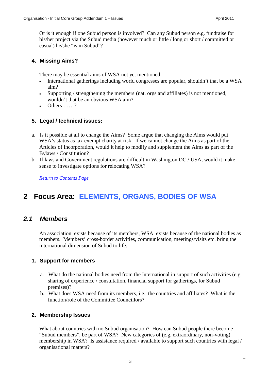Or is it enough if one Subud person is involved? Can any Subud person e.g. fundraise for his/her project via the Subud media (however much or little / long or short / committed or casual) he/she "is in Subud"?

#### **4. Missing Aims?**

There may be essential aims of WSA not yet mentioned:

- International gatherings including world congresses are popular, shouldn't that be a WSA aim?
- Supporting / strengthening the members (nat. orgs and affiliates) is not mentioned, wouldn't that be an obvious WSA aim?
- $\bullet$  Others ?

#### **5. Legal / technical issues:**

- a. Is it possible at all to change the Aims? Some argue that changing the Aims would put WSA's status as tax exempt charity at risk. If we cannot change the Aims as part of the Articles of Incorporation, would it help to modify and supplement the Aims as part of the Bylaws / Constitution?
- b. If laws and Government regulations are difficult in Washington DC / USA, would it make sense to investigate options for relocating WSA?

*[Return to Contents Page](#page-2-0)*

# <span id="page-5-0"></span>**2 Focus Area: ELEMENTS, ORGANS, BODIES OF WSA**

### <span id="page-5-1"></span>*2.1 Members*

An association exists because of its members, WSA exists because of the national bodies as members. Members' cross-border activities, communication, meetings/visits etc. bring the international dimension of Subud to life.

#### **1. Support for members**

- a. What do the national bodies need from the International in support of such activities (e.g. sharing of experience / consultation, financial support for gatherings, for Subud premises)?
- b. What does WSA need from its members, i.e. the countries and affiliates? What is the function/role of the Committee Councillors?

#### **2. Membership Issues**

What about countries with no Subud organisation? How can Subud people there become "Subud members", be part of WSA? New categories of (e.g. extraordinary, non-voting) membership in WSA? Is assistance required / available to support such countries with legal / organisational matters?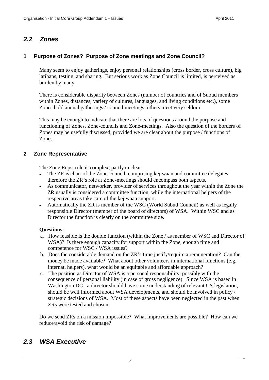### <span id="page-6-0"></span>*2.2 Zones*

#### **1 Purpose of Zones? Purpose of Zone meetings and Zone Council?**

Many seem to enjoy gatherings, enjoy personal relationships (cross border, cross culture), big latihans, testing, and sharing. But serious work as Zone Council is limited, is perceived as burden by many.

There is considerable disparity between Zones (number of countries and of Subud members within Zones, distances, variety of cultures, languages, and living conditions etc.), some Zones hold annual gatherings / council meetings, others meet very seldom.

This may be enough to indicate that there are lots of questions around the purpose and functioning of Zones, Zone-councils and Zone-meetings. Also the question of the borders of Zones may be usefully discussed, provided we are clear about the purpose / functions of Zones.

#### **2 Zone Representative**

The Zone Reps. role is complex, partly unclear:

- The ZR is chair of the Zone-council, comprising kejiwaan and committee delegates, therefore the ZR's role at Zone-meetings should encompass both aspects.
- As communicator, networker, provider of services throughout the year within the Zone the ZR usually is considered a committee function, while the international helpers of the respective areas take care of the kejiwaan support.
- Automatically the ZR is member of the WSC (World Subud Council) as well as legally responsible Director (member of the board of directors) of WSA. Within WSC and as Director the function is clearly on the committee side.

#### **Questions**:

- a. How feasible is the double function (within the Zone / as member of WSC and Director of WSA)? Is there enough capacity for support within the Zone, enough time and competence for WSC / WSA issues?
- b. Does the considerable demand on the ZR's time justify/require a remuneration? Can the money be made available? What about other volunteers in international functions (e.g. internat. helpers), what would be an equitable and affordable approach?
- c. The position as Director of WSA is a personal responsibility, possibly with the consequence of personal liability (in case of gross negligence). Since WSA is based in Washington DC., a director should have some understanding of relevant US legislation, should be well informed about WSA developments, and should be involved in policy / strategic decisions of WSA. Most of these aspects have been neglected in the past when ZRs were tested and chosen.

Do we send ZRs on a mission impossible? What improvements are possible? How can we reduce/avoid the risk of damage?

### <span id="page-6-1"></span>*2.3 WSA Executive*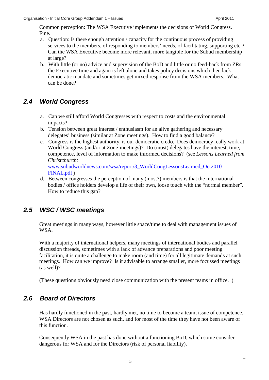Common perception: The WSA Executive implements the decisions of World Congress. Fine.

- a. Question: Is there enough attention / capacity for the continuous process of providing services to the members, of responding to members' needs, of facilitating, supporting etc.? Can the WSA Executive become more relevant, more tangible for the Subud membership at large?
- b. With little (or no) advice and supervision of the BoD and little or no feed-back from ZRs the Executive time and again is left alone and takes policy decisions which then lack democratic mandate and sometimes get mixed response from the WSA members. What can be done?

# <span id="page-7-0"></span>*2.4 World Congress*

- a. Can we still afford World Congresses with respect to costs and the environmental impacts?
- b. Tension between great interest / enthusiasm for an alive gathering and necessary delegates' business (similar at Zone meetings). How to find a good balance?
- c. Congress is the highest authority, is our democratic credo. Does democracy really work at World Congress (and/or at Zone-meetings)? Do (most) delegates have the interest, time, competence, level of information to make informed decisions? (see *Lessons Learned from Christchurch:* www.subudworldnews.com/wsa/report/3\_WorldCongLessonsLearned\_Oct2010-

FINAL.pdf ) d. Between congresses the perception of many (most?) members is that the international

bodies / office holders develop a life of their own, loose touch with the "normal member". How to reduce this gap?

# <span id="page-7-1"></span>*2.5 WSC / WSC meetings*

Great meetings in many ways, however little space/time to deal with management issues of WSA.

With a majority of international helpers, many meetings of international bodies and parallel discussion threads, sometimes with a lack of advance preparations and poor meeting facilitation, it is quite a challenge to make room (and time) for all legitimate demands at such meetings. How can we improve? Is it advisable to arrange smaller, more focussed meetings (as well)?

<span id="page-7-2"></span>(These questions obviously need close communication with the present teams in office. )

### *2.6 Board of Directors*

Has hardly functioned in the past, hardly met, no time to become a team, issue of competence. WSA Directors are not chosen as such, and for most of the time they have not been aware of this function.

Consequently WSA in the past has done without a functioning BoD, which some consider dangerous for WSA and for the Directors (risk of personal liability).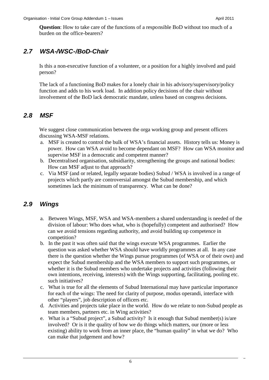**Question**: How to take care of the functions of a responsible BoD without too much of a burden on the office-bearers?

# <span id="page-8-0"></span>*2.7 WSA-/WSC-/BoD-Chair*

Is this a non-executive function of a volunteer, or a position for a highly involved and paid person?

The lack of a functioning BoD makes for a lonely chair in his advisory/supervisory/policy function and adds to his work load. In addition policy decisions of the chair without involvement of the BoD lack democratic mandate, unless based on congress decisions.

## <span id="page-8-1"></span>*2.8 MSF*

We suggest close communication between the orga working group and present officers discussing WSA-MSF relations.

- a. MSF is created to control the bulk of WSA's financial assets. History tells us: Money is power. How can WSA avoid to become dependant on MSF? How can WSA monitor and supervise MSF in a democratic and competent manner?
- b. Decentralised organisation, subsidiarity, strengthening the groups and national bodies: How can MSF adjust to that approach?
- c. Via MSF (and or related, legally separate bodies) Subud / WSA is involved in a range of projects which partly are controversial amongst the Subud membership, and which sometimes lack the minimum of transparency. What can be done?

# <span id="page-8-2"></span>*2.9 Wings*

- a. Between Wings, MSF, WSA and WSA-members a shared understanding is needed of the division of labour: Who does what, who is (hopefully) competent and authorised? How can we avoid tensions regarding authority, and avoid building up competence in competition?
- b. In the past it was often said that the wings execute WSA programmes. Earlier the question was asked whether WSA should have worldly programmes at all. In any case there is the question whether the Wings pursue programmes (of WSA or of their own) and expect the Subud membership and the WSA members to support such programmes, or whether it is the Subud members who undertake projects and activities (following their own intentions, receiving, interests) with the Wings supporting, facilitating, pooling etc. such initiatives?
- c. What is true for all the elements of Subud International may have particular importance for each of the wings: The need for clarity of purpose, modus operandi, interface with other "players", job description of officers etc.
- d. Activities and projects take place in the world. How do we relate to non-Subud people as team members, partners etc. in Wing activities?
- e. What is a "Subud project", a Subud activity? Is it enough that Subud member(s) is/are involved? Or is it the quality of how we do things which matters, our (more or less existing) ability to work from an inner place, the "human quality" in what we do? Who can make that judgement and how?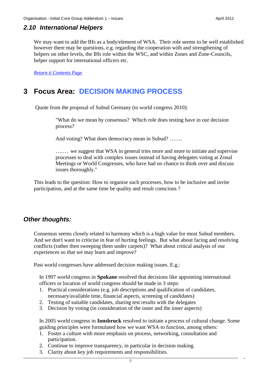#### <span id="page-9-0"></span>*2.10 International Helpers*

We may want to add the IHs as a body/element of WSA. Their role seems to be well established however there may be questions, e.g. regarding the cooperation with and strengthening of helpers on other levels, the IHs role within the WSC, and within Zones and Zone-Councils, helper support for international officers etc.

*[Return ti Contents Page](#page-2-0)*

# <span id="page-9-1"></span>**3 Focus Area: DECISION MAKING PROCESS**

Quote from the proposal of Subud Germany (to world congress 2010):

"What do we mean by consensus? Which role does testing have in our decision process?

And voting? What does democracy mean in Subud? …….

……. we suggest that WSA in general tries more and more to initiate and supervise processes to deal with complex issues instead of having delegates voting at Zonal Meetings or World Congresses, who have had no chance to think over and discuss issues thoroughly."

This leads to the question: How to organise such processes, how to be inclusive and invite participation, and at the same time be quality and result conscious ?

#### <span id="page-9-2"></span>*Other thoughts:*

Consensus seems closely related to harmony which is a high value for most Subud members. And we don't want to criticise in fear of hurting feelings. But what about facing and resolving conflicts (rather then sweeping them under carpets)? What about critical analysis of our experiences so that we may learn and improve?

Past world congresses have addressed decision making issues. E.g.:

In 1997 world congress in **Spokane** resolved that decisions like appointing international officers or location of world congress should be made in 3 steps:

- 1. Practical considerations (e.g. job descriptions and qualification of candidates, necessary/available time, financial aspects, screening of candidates)
- 2. Testing of suitable candidates, sharing test results with the delegates
- 3. Decision by voting (in consideration of the outer and the inner aspects)

In 2005 world congress in **Innsbruck** resolved to initiate a process of cultural change. Some guiding principles were formulated how we want WSA to function, among others:

- 1. Foster a culture with more emphasis on process, networking, consultation and participation.
- 2. Continue to improve transparency, in particular in decision making.
- 3. Clarity about key job requirements and responsibilities.